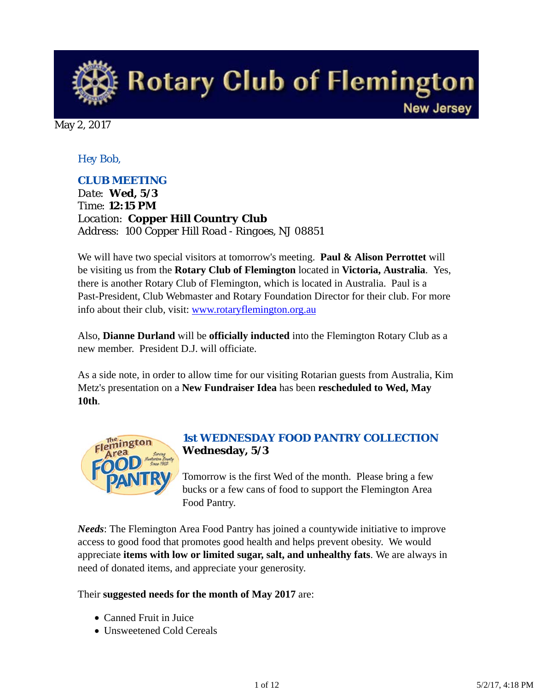**Rotary Club of Flemington New Jersey** 

May 2, 2017

# *Hey Bob,*

# *CLUB MEETING*

*Date: Wed, 5/3 Time: 12:15 PM Location: Copper Hill Country Club Address: 100 Copper Hill Road - Ringoes, NJ 08851*

We will have two special visitors at tomorrow's meeting. **Paul & Alison Perrottet** will be visiting us from the **Rotary Club of Flemington** located in **Victoria, Australia**. Yes, there is another Rotary Club of Flemington, which is located in Australia. Paul is a Past-President, Club Webmaster and Rotary Foundation Director for their club. For more info about their club, visit: www.rotaryflemington.org.au

Also, **Dianne Durland** will be **officially inducted** into the Flemington Rotary Club as a new member. President D.J. will officiate.

As a side note, in order to allow time for our visiting Rotarian guests from Australia, Kim Metz's presentation on a **New Fundraiser Idea** has been **rescheduled to Wed, May 10th**.



# *1st WEDNESDAY FOOD PANTRY COLLECTION* **Wednesday, 5/3**

Tomorrow is the first Wed of the month. Please bring a few bucks or a few cans of food to support the Flemington Area Food Pantry.

*Needs*: The Flemington Area Food Pantry has joined a countywide initiative to improve access to good food that promotes good health and helps prevent obesity. We would appreciate **items with low or limited sugar, salt, and unhealthy fats**. We are always in need of donated items, and appreciate your generosity.

Their **suggested needs for the month of May 2017** are:

- Canned Fruit in Juice
- Unsweetened Cold Cereals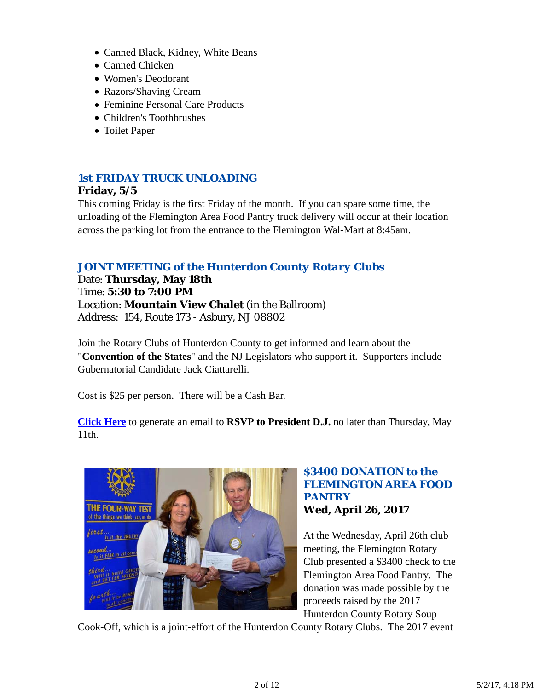- Canned Black, Kidney, White Beans
- Canned Chicken
- Women's Deodorant
- Razors/Shaving Cream
- Feminine Personal Care Products
- Children's Toothbrushes
- Toilet Paper

### *1st FRIDAY TRUCK UNLOADING*

#### **Friday, 5/5**

This coming Friday is the first Friday of the month. If you can spare some time, the unloading of the Flemington Area Food Pantry truck delivery will occur at their location across the parking lot from the entrance to the Flemington Wal-Mart at 8:45am.

### *JOINT MEETING of the Hunterdon County Rotary Clubs*

Date: **Thursday, May 18th** Time: **5:30 to 7:00 PM** Location: **Mountain View Chalet** (in the Ballroom) Address: 154, Route 173 - Asbury, NJ 08802

Join the Rotary Clubs of Hunterdon County to get informed and learn about the "**Convention of the States**" and the NJ Legislators who support it. Supporters include Gubernatorial Candidate Jack Ciattarelli.

Cost is \$25 per person. There will be a Cash Bar.

**Click Here** to generate an email to **RSVP to President D.J.** no later than Thursday, May 11th.



### *\$3400 DONATION to the FLEMINGTON AREA FOOD PANTRY* **Wed, April 26, 2017**

At the Wednesday, April 26th club meeting, the Flemington Rotary Club presented a \$3400 check to the Flemington Area Food Pantry. The donation was made possible by the proceeds raised by the 2017 Hunterdon County Rotary Soup

Cook-Off, which is a joint-effort of the Hunterdon County Rotary Clubs. The 2017 event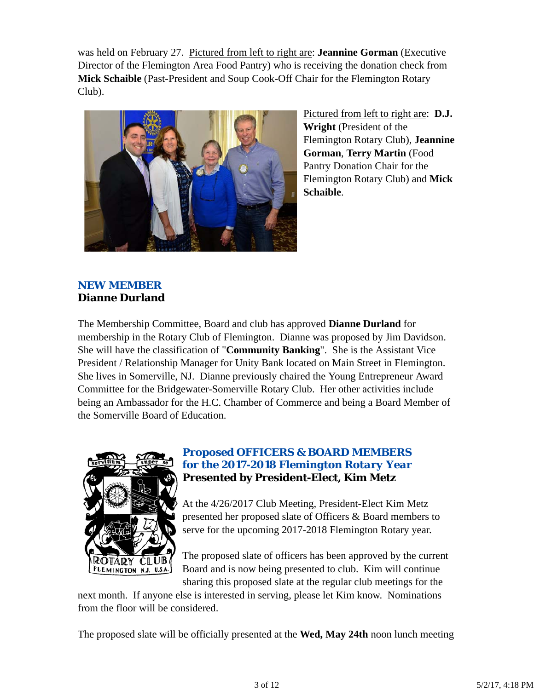was held on February 27. Pictured from left to right are: **Jeannine Gorman** (Executive Director of the Flemington Area Food Pantry) who is receiving the donation check from **Mick Schaible** (Past-President and Soup Cook-Off Chair for the Flemington Rotary Club).



Pictured from left to right are: **D.J. Wright** (President of the Flemington Rotary Club), **Jeannine Gorman**, **Terry Martin** (Food Pantry Donation Chair for the Flemington Rotary Club) and **Mick Schaible**.

# *NEW MEMBER* **Dianne Durland**

The Membership Committee, Board and club has approved **Dianne Durland** for membership in the Rotary Club of Flemington. Dianne was proposed by Jim Davidson. She will have the classification of "**Community Banking**". She is the Assistant Vice President / Relationship Manager for Unity Bank located on Main Street in Flemington. She lives in Somerville, NJ. Dianne previously chaired the Young Entrepreneur Award Committee for the Bridgewater-Somerville Rotary Club. Her other activities include being an Ambassador for the H.C. Chamber of Commerce and being a Board Member of the Somerville Board of Education.



# *Proposed OFFICERS & BOARD MEMBERS for the 2017-2018 Flemington Rotary Year* **Presented by President-Elect, Kim Metz**

At the 4/26/2017 Club Meeting, President-Elect Kim Metz presented her proposed slate of Officers & Board members to serve for the upcoming 2017-2018 Flemington Rotary year.

The proposed slate of officers has been approved by the current Board and is now being presented to club. Kim will continue sharing this proposed slate at the regular club meetings for the

next month. If anyone else is interested in serving, please let Kim know. Nominations from the floor will be considered.

The proposed slate will be officially presented at the **Wed, May 24th** noon lunch meeting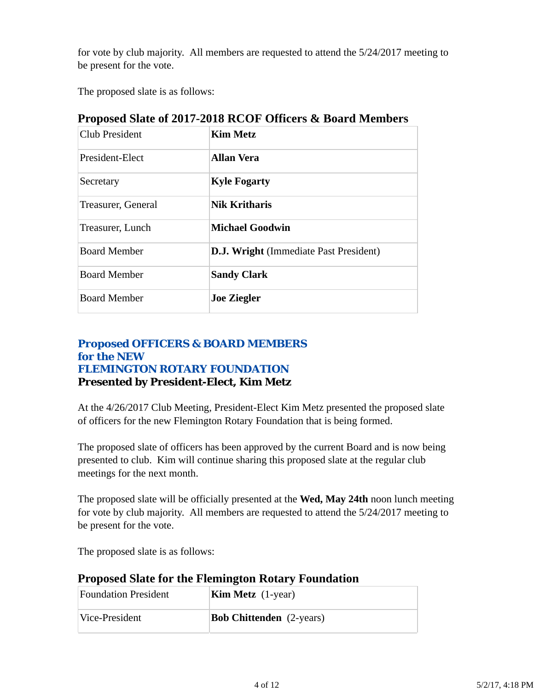for vote by club majority. All members are requested to attend the 5/24/2017 meeting to be present for the vote.

The proposed slate is as follows:

| <b>Club President</b> | <b>Kim Metz</b>                               |  |  |
|-----------------------|-----------------------------------------------|--|--|
| President-Elect       | <b>Allan Vera</b>                             |  |  |
| Secretary             | <b>Kyle Fogarty</b>                           |  |  |
| Treasurer, General    | <b>Nik Kritharis</b>                          |  |  |
| Treasurer, Lunch      | <b>Michael Goodwin</b>                        |  |  |
| <b>Board Member</b>   | <b>D.J. Wright</b> (Immediate Past President) |  |  |
| <b>Board Member</b>   | <b>Sandy Clark</b>                            |  |  |
| <b>Board Member</b>   | <b>Joe Ziegler</b>                            |  |  |

**Proposed Slate of 2017-2018 RCOF Officers & Board Members** 

# *Proposed OFFICERS & BOARD MEMBERS for the NEW FLEMINGTON ROTARY FOUNDATION* **Presented by President-Elect, Kim Metz**

At the 4/26/2017 Club Meeting, President-Elect Kim Metz presented the proposed slate of officers for the new Flemington Rotary Foundation that is being formed.

The proposed slate of officers has been approved by the current Board and is now being presented to club. Kim will continue sharing this proposed slate at the regular club meetings for the next month.

The proposed slate will be officially presented at the **Wed, May 24th** noon lunch meeting for vote by club majority. All members are requested to attend the 5/24/2017 meeting to be present for the vote.

The proposed slate is as follows:

|  |  | <b>Proposed Slate for the Flemington Rotary Foundation</b> |
|--|--|------------------------------------------------------------|
|  |  |                                                            |

| <b>Foundation President</b> | <b>Kim Metz</b> $(1$ -year)     |  |  |
|-----------------------------|---------------------------------|--|--|
| Vice-President              | <b>Bob Chittenden</b> (2-years) |  |  |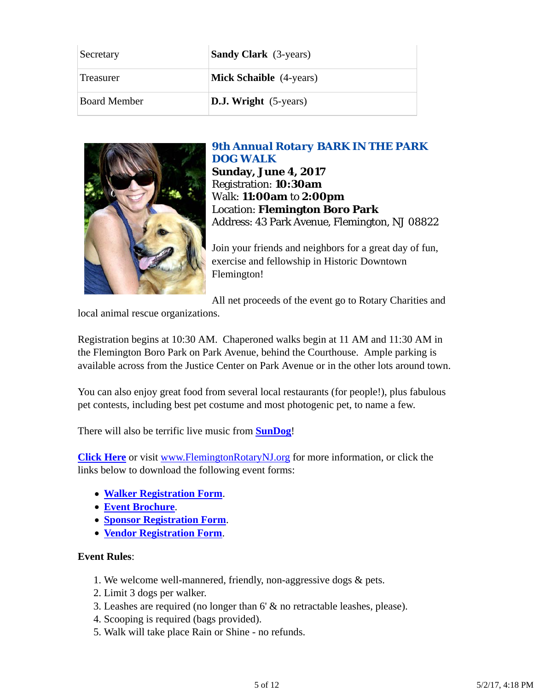| Secretary           | <b>Sandy Clark</b> (3-years)   |
|---------------------|--------------------------------|
| Treasurer           | <b>Mick Schaible</b> (4-years) |
| <b>Board Member</b> | <b>D.J. Wright</b> (5-years)   |



*9th Annual Rotary BARK IN THE PARK DOG WALK*

**Sunday, June 4, 2017** Registration: **10:30am** Walk: **11:00am** to **2:00pm** Location: **Flemington Boro Park** Address: 43 Park Avenue, Flemington, NJ 08822

Join your friends and neighbors for a great day of fun, exercise and fellowship in Historic Downtown Flemington!

All net proceeds of the event go to Rotary Charities and

local animal rescue organizations.

Registration begins at 10:30 AM. Chaperoned walks begin at 11 AM and 11:30 AM in the Flemington Boro Park on Park Avenue, behind the Courthouse. Ample parking is available across from the Justice Center on Park Avenue or in the other lots around town.

You can also enjoy great food from several local restaurants (for people!), plus fabulous pet contests, including best pet costume and most photogenic pet, to name a few.

There will also be terrific live music from **SunDog**!

**Click Here** or visit www.FlemingtonRotaryNJ.org for more information, or click the links below to download the following event forms:

- **Walker Registration Form**.
- **Event Brochure**.
- **Sponsor Registration Form**.
- **Vendor Registration Form**.

### **Event Rules**:

- 1. We welcome well-mannered, friendly, non-aggressive dogs & pets.
- 2. Limit 3 dogs per walker.
- 3. Leashes are required (no longer than 6' & no retractable leashes, please).
- 4. Scooping is required (bags provided).
- 5. Walk will take place Rain or Shine no refunds.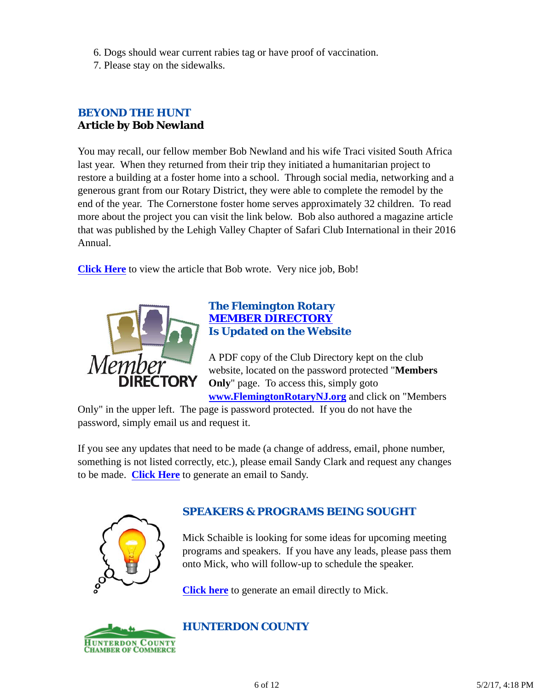- 6. Dogs should wear current rabies tag or have proof of vaccination.
- 7. Please stay on the sidewalks.

# *BEYOND THE HUNT* **Article by Bob Newland**

You may recall, our fellow member Bob Newland and his wife Traci visited South Africa last year. When they returned from their trip they initiated a humanitarian project to restore a building at a foster home into a school. Through social media, networking and a generous grant from our Rotary District, they were able to complete the remodel by the end of the year. The Cornerstone foster home serves approximately 32 children. To read more about the project you can visit the link below. Bob also authored a magazine article that was published by the Lehigh Valley Chapter of Safari Club International in their 2016 Annual.

**Click Here** to view the article that Bob wrote. Very nice job, Bob!



### *The Flemington Rotary MEMBER DIRECTORY Is Updated on the Website*

A PDF copy of the Club Directory kept on the club website, located on the password protected "**Members Only**" page. To access this, simply goto

**www.FlemingtonRotaryNJ.org** and click on "Members

Only" in the upper left. The page is password protected. If you do not have the password, simply email us and request it.

If you see any updates that need to be made (a change of address, email, phone number, something is not listed correctly, etc.), please email Sandy Clark and request any changes to be made. **Click Here** to generate an email to Sandy.



# *SPEAKERS & PROGRAMS BEING SOUGHT*

Mick Schaible is looking for some ideas for upcoming meeting programs and speakers. If you have any leads, please pass them onto Mick, who will follow-up to schedule the speaker.

**Click here** to generate an email directly to Mick.



# *HUNTERDON COUNTY*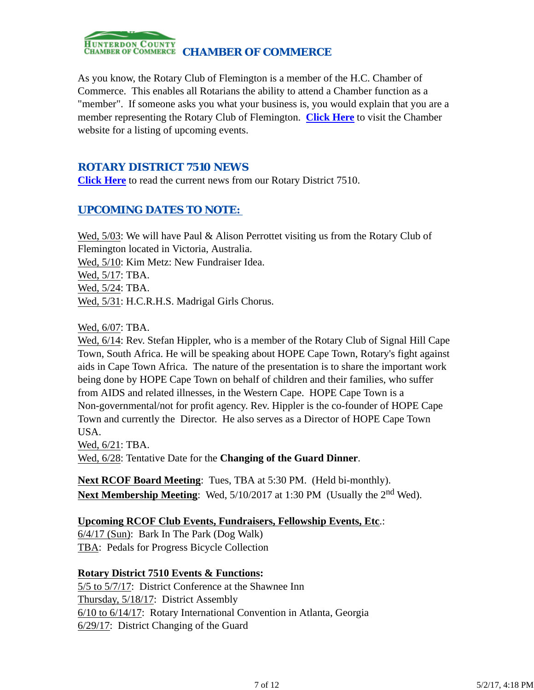

As you know, the Rotary Club of Flemington is a member of the H.C. Chamber of Commerce. This enables all Rotarians the ability to attend a Chamber function as a "member". If someone asks you what your business is, you would explain that you are a member representing the Rotary Club of Flemington. **Click Here** to visit the Chamber website for a listing of upcoming events.

### *ROTARY DISTRICT 7510 NEWS*

**Click Here** to read the current news from our Rotary District 7510.

# *UPCOMING DATES TO NOTE:*

Wed, 5/03: We will have Paul & Alison Perrottet visiting us from the Rotary Club of Flemington located in Victoria, Australia. Wed, 5/10: Kim Metz: New Fundraiser Idea. Wed, 5/17: TBA. Wed, 5/24: TBA. Wed, 5/31: H.C.R.H.S. Madrigal Girls Chorus.

Wed, 6/07: TBA.

Wed, 6/14: Rev. Stefan Hippler, who is a member of the Rotary Club of Signal Hill Cape Town, South Africa. He will be speaking about HOPE Cape Town, Rotary's fight against aids in Cape Town Africa. The nature of the presentation is to share the important work being done by HOPE Cape Town on behalf of children and their families, who suffer from AIDS and related illnesses, in the Western Cape. HOPE Cape Town is a Non-governmental/not for profit agency. Rev. Hippler is the co-founder of HOPE Cape Town and currently the Director. He also serves as a Director of HOPE Cape Town USA.

Wed, 6/21: TBA.

Wed, 6/28: Tentative Date for the **Changing of the Guard Dinner**.

**Next RCOF Board Meeting**: Tues, TBA at 5:30 PM. (Held bi-monthly). Next Membership Meeting: Wed, 5/10/2017 at 1:30 PM (Usually the 2<sup>nd</sup> Wed).

### **Upcoming RCOF Club Events, Fundraisers, Fellowship Events, Etc**.:

6/4/17 (Sun): Bark In The Park (Dog Walk) TBA: Pedals for Progress Bicycle Collection

### **Rotary District 7510 Events & Functions:**

5/5 to 5/7/17: District Conference at the Shawnee Inn Thursday, 5/18/17: District Assembly 6/10 to 6/14/17: Rotary International Convention in Atlanta, Georgia 6/29/17: District Changing of the Guard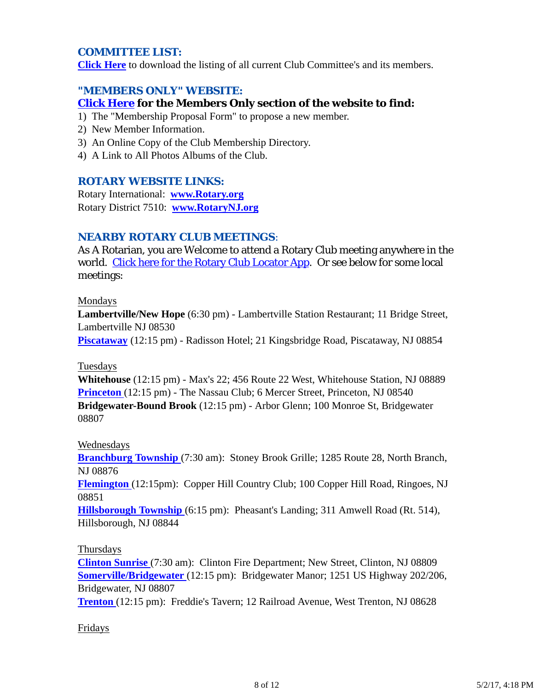### *COMMITTEE LIST:*

**Click Here** to download the listing of all current Club Committee's and its members.

### *"MEMBERS ONLY" WEBSITE:*

### **Click Here for the Members Only section of the website to find:**

- 1) The "Membership Proposal Form" to propose a new member.
- 2) New Member Information.
- 3) An Online Copy of the Club Membership Directory.
- 4) A Link to All Photos Albums of the Club.

### *ROTARY WEBSITE LINKS:*

Rotary International: **www.Rotary.org** Rotary District 7510: **www.RotaryNJ.org**

### *NEARBY ROTARY CLUB MEETINGS:*

As A Rotarian, you are Welcome to attend a Rotary Club meeting anywhere in the world. Click here for the Rotary Club Locator App. Or see below for some local meetings:

#### Mondays

**Lambertville/New Hope** (6:30 pm) - Lambertville Station Restaurant; 11 Bridge Street, Lambertville NJ 08530

**Piscataway** (12:15 pm) - Radisson Hotel; 21 Kingsbridge Road, Piscataway, NJ 08854

#### Tuesdays

**Whitehouse** (12:15 pm) - Max's 22; 456 Route 22 West, Whitehouse Station, NJ 08889 **Princeton** (12:15 pm) - The Nassau Club; 6 Mercer Street, Princeton, NJ 08540 **Bridgewater-Bound Brook** (12:15 pm) - Arbor Glenn; 100 Monroe St, Bridgewater 08807

### Wednesdays

**Branchburg Township** (7:30 am): Stoney Brook Grille; 1285 Route 28, North Branch, NJ 08876

**Flemington** (12:15pm): Copper Hill Country Club; 100 Copper Hill Road, Ringoes, NJ 08851

**Hillsborough Township** (6:15 pm): Pheasant's Landing; 311 Amwell Road (Rt. 514), Hillsborough, NJ 08844

#### Thursdays

**Clinton Sunrise** (7:30 am): Clinton Fire Department; New Street, Clinton, NJ 08809 **Somerville/Bridgewater** (12:15 pm): Bridgewater Manor; 1251 US Highway 202/206, Bridgewater, NJ 08807

**Trenton** (12:15 pm): Freddie's Tavern; 12 Railroad Avenue, West Trenton, NJ 08628

### Fridays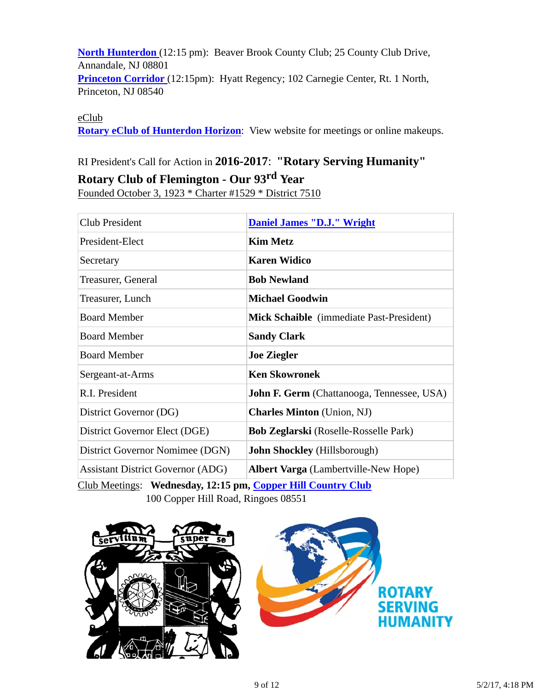**North Hunterdon** (12:15 pm): Beaver Brook County Club; 25 County Club Drive, Annandale, NJ 08801 **Princeton Corridor** (12:15pm): Hyatt Regency; 102 Carnegie Center, Rt. 1 North, Princeton, NJ 08540

eClub

**Rotary eClub of Hunterdon Horizon**: View website for meetings or online makeups.

# RI President's Call for Action in **2016-2017**: **"Rotary Serving Humanity"**

### **Rotary Club of Flemington - Our 93rd Year**

Founded October 3, 1923 \* Charter #1529 \* District 7510

| Club President                           | <b>Daniel James "D.J." Wright</b>                 |
|------------------------------------------|---------------------------------------------------|
| President-Elect                          | <b>Kim Metz</b>                                   |
| Secretary                                | <b>Karen Widico</b>                               |
| Treasurer, General                       | <b>Bob Newland</b>                                |
| Treasurer, Lunch                         | <b>Michael Goodwin</b>                            |
| <b>Board Member</b>                      | <b>Mick Schaible</b> (immediate Past-President)   |
| <b>Board Member</b>                      | <b>Sandy Clark</b>                                |
| <b>Board Member</b>                      | <b>Joe Ziegler</b>                                |
| Sergeant-at-Arms                         | <b>Ken Skowronek</b>                              |
| R.I. President                           | <b>John F. Germ</b> (Chattanooga, Tennessee, USA) |
| District Governor (DG)                   | <b>Charles Minton</b> (Union, NJ)                 |
| District Governor Elect (DGE)            | <b>Bob Zeglarski</b> (Roselle-Rosselle Park)      |
| District Governor Nomimee (DGN)          | <b>John Shockley</b> (Hillsborough)               |
| <b>Assistant District Governor (ADG)</b> | <b>Albert Varga</b> (Lambertville-New Hope)       |

Club Meetings: **Wednesday, 12:15 pm, Copper Hill Country Club** 100 Copper Hill Road, Ringoes 08551



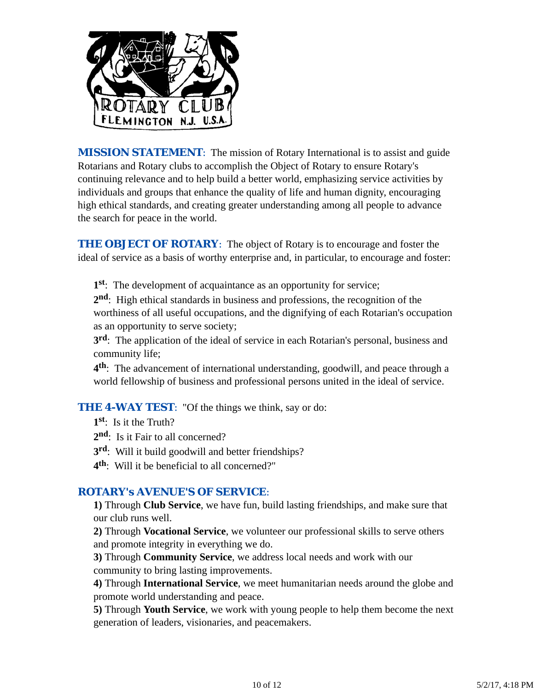

*MISSION STATEMENT*: The mission of Rotary International is to assist and guide Rotarians and Rotary clubs to accomplish the Object of Rotary to ensure Rotary's continuing relevance and to help build a better world, emphasizing service activities by individuals and groups that enhance the quality of life and human dignity, encouraging high ethical standards, and creating greater understanding among all people to advance the search for peace in the world.

**THE OBJECT OF ROTARY:** The object of Rotary is to encourage and foster the ideal of service as a basis of worthy enterprise and, in particular, to encourage and foster:

**1st**: The development of acquaintance as an opportunity for service;

**2nd**: High ethical standards in business and professions, the recognition of the worthiness of all useful occupations, and the dignifying of each Rotarian's occupation as an opportunity to serve society;

**3rd**: The application of the ideal of service in each Rotarian's personal, business and community life;

**4th**: The advancement of international understanding, goodwill, and peace through a world fellowship of business and professional persons united in the ideal of service.

**THE 4-WAY TEST:** "Of the things we think, say or do:

**1st**: Is it the Truth?

2<sup>nd</sup>: Is it Fair to all concerned?

**3rd**: Will it build goodwill and better friendships?

**4th**: Will it be beneficial to all concerned?"

### *ROTARY's AVENUE'S OF SERVICE*:

**1)** Through **Club Service**, we have fun, build lasting friendships, and make sure that our club runs well.

**2)** Through **Vocational Service**, we volunteer our professional skills to serve others and promote integrity in everything we do.

**3)** Through **Community Service**, we address local needs and work with our community to bring lasting improvements.

**4)** Through **International Service**, we meet humanitarian needs around the globe and promote world understanding and peace.

**5)** Through **Youth Service**, we work with young people to help them become the next generation of leaders, visionaries, and peacemakers.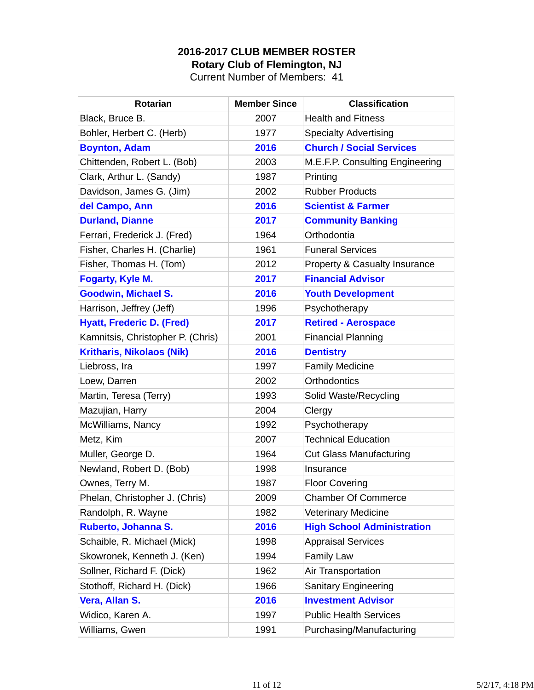### **2016-2017 CLUB MEMBER ROSTER Rotary Club of Flemington, NJ**

Current Number of Members: 41

| <b>Rotarian</b>                   | <b>Member Since</b> | <b>Classification</b>                    |
|-----------------------------------|---------------------|------------------------------------------|
| Black, Bruce B.                   | 2007                | <b>Health and Fitness</b>                |
| Bohler, Herbert C. (Herb)         | 1977                | <b>Specialty Advertising</b>             |
| <b>Boynton, Adam</b>              | 2016                | <b>Church / Social Services</b>          |
| Chittenden, Robert L. (Bob)       | 2003                | M.E.F.P. Consulting Engineering          |
| Clark, Arthur L. (Sandy)          | 1987                | Printing                                 |
| Davidson, James G. (Jim)          | 2002                | <b>Rubber Products</b>                   |
| del Campo, Ann                    | 2016                | <b>Scientist &amp; Farmer</b>            |
| <b>Durland, Dianne</b>            | 2017                | <b>Community Banking</b>                 |
| Ferrari, Frederick J. (Fred)      | 1964                | Orthodontia                              |
| Fisher, Charles H. (Charlie)      | 1961                | <b>Funeral Services</b>                  |
| Fisher, Thomas H. (Tom)           | 2012                | <b>Property &amp; Casualty Insurance</b> |
| <b>Fogarty, Kyle M.</b>           | 2017                | <b>Financial Advisor</b>                 |
| <b>Goodwin, Michael S.</b>        | 2016                | <b>Youth Development</b>                 |
| Harrison, Jeffrey (Jeff)          | 1996                | Psychotherapy                            |
| <b>Hyatt, Frederic D. (Fred)</b>  | 2017                | <b>Retired - Aerospace</b>               |
| Kamnitsis, Christopher P. (Chris) | 2001                | <b>Financial Planning</b>                |
| <b>Kritharis, Nikolaos (Nik)</b>  | 2016                | <b>Dentistry</b>                         |
| Liebross, Ira                     | 1997                | <b>Family Medicine</b>                   |
| Loew, Darren                      | 2002                | <b>Orthodontics</b>                      |
| Martin, Teresa (Terry)            | 1993                | Solid Waste/Recycling                    |
| Mazujian, Harry                   | 2004                | Clergy                                   |
| McWilliams, Nancy                 | 1992                | Psychotherapy                            |
| Metz, Kim                         | 2007                | <b>Technical Education</b>               |
| Muller, George D.                 | 1964                | <b>Cut Glass Manufacturing</b>           |
| Newland, Robert D. (Bob)          | 1998                | Insurance                                |
| Ownes, Terry M.                   | 1987                | <b>Floor Covering</b>                    |
| Phelan, Christopher J. (Chris)    | 2009                | <b>Chamber Of Commerce</b>               |
| Randolph, R. Wayne                | 1982                | <b>Veterinary Medicine</b>               |
| Ruberto, Johanna S.               | 2016                | <b>High School Administration</b>        |
| Schaible, R. Michael (Mick)       | 1998                | <b>Appraisal Services</b>                |
| Skowronek, Kenneth J. (Ken)       | 1994                | <b>Family Law</b>                        |
| Sollner, Richard F. (Dick)        | 1962                | Air Transportation                       |
| Stothoff, Richard H. (Dick)       | 1966                | <b>Sanitary Engineering</b>              |
| Vera, Allan S.                    | 2016                | <b>Investment Advisor</b>                |
| Widico, Karen A.                  | 1997                | <b>Public Health Services</b>            |
| Williams, Gwen                    | 1991                | Purchasing/Manufacturing                 |